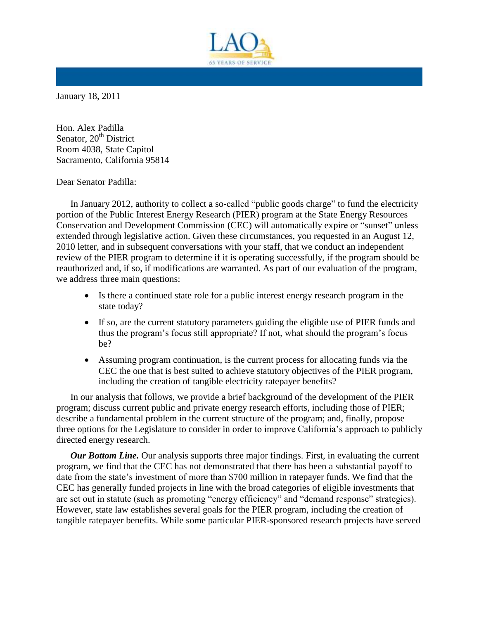

January 18, 2011

Hon. Alex Padilla Senator, 20<sup>th</sup> District Room 4038, State Capitol Sacramento, California 95814

Dear Senator Padilla:

In January 2012, authority to collect a so-called "public goods charge" to fund the electricity portion of the Public Interest Energy Research (PIER) program at the State Energy Resources Conservation and Development Commission (CEC) will automatically expire or "sunset" unless extended through legislative action. Given these circumstances, you requested in an August 12, 2010 letter, and in subsequent conversations with your staff, that we conduct an independent review of the PIER program to determine if it is operating successfully, if the program should be reauthorized and, if so, if modifications are warranted. As part of our evaluation of the program, we address three main questions:

- Is there a continued state role for a public interest energy research program in the state today?
- If so, are the current statutory parameters guiding the eligible use of PIER funds and thus the program's focus still appropriate? If not, what should the program's focus be?
- Assuming program continuation, is the current process for allocating funds via the CEC the one that is best suited to achieve statutory objectives of the PIER program, including the creation of tangible electricity ratepayer benefits?

In our analysis that follows, we provide a brief background of the development of the PIER program; discuss current public and private energy research efforts, including those of PIER; describe a fundamental problem in the current structure of the program; and, finally, propose three options for the Legislature to consider in order to improve California's approach to publicly directed energy research.

*Our Bottom Line.* Our analysis supports three major findings. First, in evaluating the current program, we find that the CEC has not demonstrated that there has been a substantial payoff to date from the state's investment of more than \$700 million in ratepayer funds. We find that the CEC has generally funded projects in line with the broad categories of eligible investments that are set out in statute (such as promoting "energy efficiency" and "demand response" strategies). However, state law establishes several goals for the PIER program, including the creation of tangible ratepayer benefits. While some particular PIER-sponsored research projects have served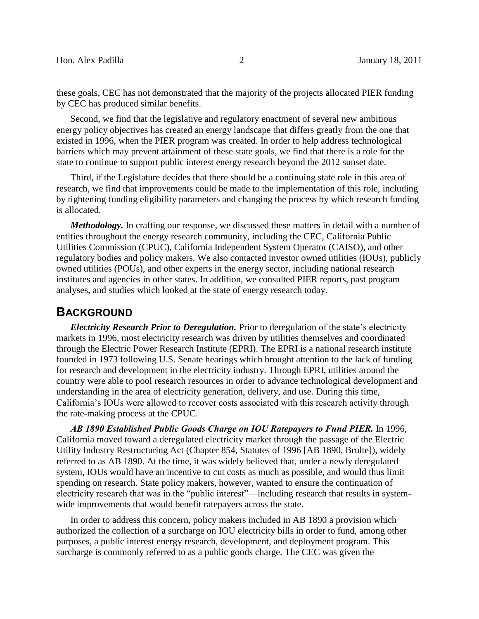these goals, CEC has not demonstrated that the majority of the projects allocated PIER funding by CEC has produced similar benefits.

Second, we find that the legislative and regulatory enactment of several new ambitious energy policy objectives has created an energy landscape that differs greatly from the one that existed in 1996, when the PIER program was created. In order to help address technological barriers which may prevent attainment of these state goals, we find that there is a role for the state to continue to support public interest energy research beyond the 2012 sunset date.

Third, if the Legislature decides that there should be a continuing state role in this area of research, we find that improvements could be made to the implementation of this role, including by tightening funding eligibility parameters and changing the process by which research funding is allocated.

*Methodology.* In crafting our response, we discussed these matters in detail with a number of entities throughout the energy research community, including the CEC, California Public Utilities Commission (CPUC), California Independent System Operator (CAISO), and other regulatory bodies and policy makers. We also contacted investor owned utilities (IOUs), publicly owned utilities (POUs), and other experts in the energy sector, including national research institutes and agencies in other states. In addition, we consulted PIER reports, past program analyses, and studies which looked at the state of energy research today.

### **BACKGROUND**

*Electricity Research Prior to Deregulation.* Prior to deregulation of the state's electricity markets in 1996, most electricity research was driven by utilities themselves and coordinated through the Electric Power Research Institute (EPRI). The EPRI is a national research institute founded in 1973 following U.S. Senate hearings which brought attention to the lack of funding for research and development in the electricity industry. Through EPRI, utilities around the country were able to pool research resources in order to advance technological development and understanding in the area of electricity generation, delivery, and use. During this time, California's IOUs were allowed to recover costs associated with this research activity through the rate-making process at the CPUC.

*AB 1890 Established Public Goods Charge on IOU Ratepayers to Fund PIER.* In 1996, California moved toward a deregulated electricity market through the passage of the Electric Utility Industry Restructuring Act (Chapter 854, Statutes of 1996 [AB 1890, Brulte]), widely referred to as AB 1890. At the time, it was widely believed that, under a newly deregulated system, IOUs would have an incentive to cut costs as much as possible, and would thus limit spending on research. State policy makers, however, wanted to ensure the continuation of electricity research that was in the "public interest"—including research that results in systemwide improvements that would benefit ratepayers across the state.

In order to address this concern, policy makers included in AB 1890 a provision which authorized the collection of a surcharge on IOU electricity bills in order to fund, among other purposes, a public interest energy research, development, and deployment program. This surcharge is commonly referred to as a public goods charge. The CEC was given the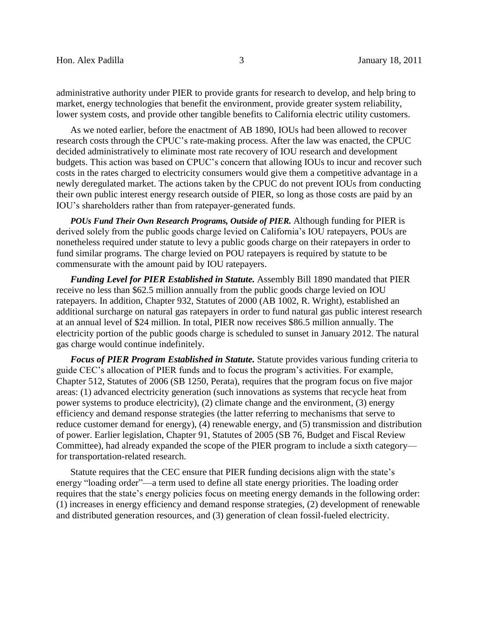administrative authority under PIER to provide grants for research to develop, and help bring to market, energy technologies that benefit the environment, provide greater system reliability, lower system costs, and provide other tangible benefits to California electric utility customers.

As we noted earlier, before the enactment of AB 1890, IOUs had been allowed to recover research costs through the CPUC's rate-making process. After the law was enacted, the CPUC decided administratively to eliminate most rate recovery of IOU research and development budgets. This action was based on CPUC's concern that allowing IOUs to incur and recover such costs in the rates charged to electricity consumers would give them a competitive advantage in a newly deregulated market. The actions taken by the CPUC do not prevent IOUs from conducting their own public interest energy research outside of PIER, so long as those costs are paid by an IOU's shareholders rather than from ratepayer-generated funds.

*POUs Fund Their Own Research Programs, Outside of PIER.* Although funding for PIER is derived solely from the public goods charge levied on California's IOU ratepayers, POUs are nonetheless required under statute to levy a public goods charge on their ratepayers in order to fund similar programs. The charge levied on POU ratepayers is required by statute to be commensurate with the amount paid by IOU ratepayers.

*Funding Level for PIER Established in Statute.* Assembly Bill 1890 mandated that PIER receive no less than \$62.5 million annually from the public goods charge levied on IOU ratepayers. In addition, Chapter 932, Statutes of 2000 (AB 1002, R. Wright), established an additional surcharge on natural gas ratepayers in order to fund natural gas public interest research at an annual level of \$24 million. In total, PIER now receives \$86.5 million annually. The electricity portion of the public goods charge is scheduled to sunset in January 2012. The natural gas charge would continue indefinitely.

*Focus of PIER Program Established in Statute.* Statute provides various funding criteria to guide CEC's allocation of PIER funds and to focus the program's activities. For example, Chapter 512, Statutes of 2006 (SB 1250, Perata), requires that the program focus on five major areas: (1) advanced electricity generation (such innovations as systems that recycle heat from power systems to produce electricity), (2) climate change and the environment, (3) energy efficiency and demand response strategies (the latter referring to mechanisms that serve to reduce customer demand for energy), (4) renewable energy, and (5) transmission and distribution of power. Earlier legislation, Chapter 91, Statutes of 2005 (SB 76, Budget and Fiscal Review Committee), had already expanded the scope of the PIER program to include a sixth category for transportation-related research.

Statute requires that the CEC ensure that PIER funding decisions align with the state's energy "loading order"—a term used to define all state energy priorities. The loading order requires that the state's energy policies focus on meeting energy demands in the following order: (1) increases in energy efficiency and demand response strategies, (2) development of renewable and distributed generation resources, and (3) generation of clean fossil-fueled electricity.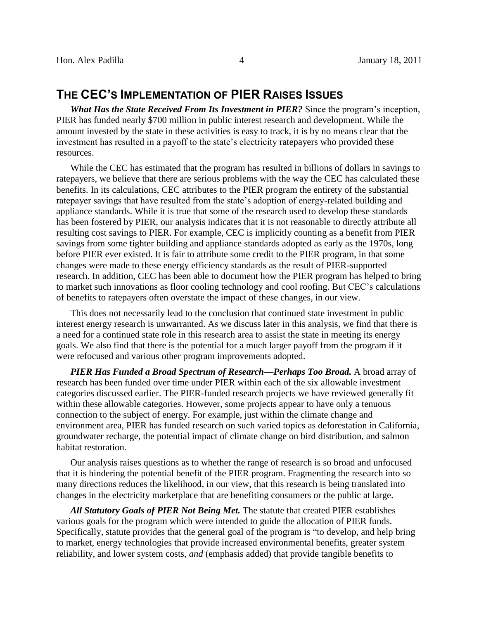# **THE CEC'S IMPLEMENTATION OF PIER RAISES ISSUES**

*What Has the State Received From Its Investment in PIER?* Since the program's inception, PIER has funded nearly \$700 million in public interest research and development. While the amount invested by the state in these activities is easy to track, it is by no means clear that the investment has resulted in a payoff to the state's electricity ratepayers who provided these resources.

While the CEC has estimated that the program has resulted in billions of dollars in savings to ratepayers, we believe that there are serious problems with the way the CEC has calculated these benefits. In its calculations, CEC attributes to the PIER program the entirety of the substantial ratepayer savings that have resulted from the state's adoption of energy-related building and appliance standards. While it is true that some of the research used to develop these standards has been fostered by PIER, our analysis indicates that it is not reasonable to directly attribute all resulting cost savings to PIER. For example, CEC is implicitly counting as a benefit from PIER savings from some tighter building and appliance standards adopted as early as the 1970s, long before PIER ever existed. It is fair to attribute some credit to the PIER program, in that some changes were made to these energy efficiency standards as the result of PIER-supported research. In addition, CEC has been able to document how the PIER program has helped to bring to market such innovations as floor cooling technology and cool roofing. But CEC's calculations of benefits to ratepayers often overstate the impact of these changes, in our view.

This does not necessarily lead to the conclusion that continued state investment in public interest energy research is unwarranted. As we discuss later in this analysis, we find that there is a need for a continued state role in this research area to assist the state in meeting its energy goals. We also find that there is the potential for a much larger payoff from the program if it were refocused and various other program improvements adopted.

*PIER Has Funded a Broad Spectrum of Research—Perhaps Too Broad.* A broad array of research has been funded over time under PIER within each of the six allowable investment categories discussed earlier. The PIER-funded research projects we have reviewed generally fit within these allowable categories. However, some projects appear to have only a tenuous connection to the subject of energy. For example, just within the climate change and environment area, PIER has funded research on such varied topics as deforestation in California, groundwater recharge, the potential impact of climate change on bird distribution, and salmon habitat restoration.

Our analysis raises questions as to whether the range of research is so broad and unfocused that it is hindering the potential benefit of the PIER program. Fragmenting the research into so many directions reduces the likelihood, in our view, that this research is being translated into changes in the electricity marketplace that are benefiting consumers or the public at large.

All Statutory Goals of PIER Not Being Met. The statute that created PIER establishes various goals for the program which were intended to guide the allocation of PIER funds. Specifically, statute provides that the general goal of the program is "to develop, and help bring to market, energy technologies that provide increased environmental benefits, greater system reliability, and lower system costs, *and* (emphasis added) that provide tangible benefits to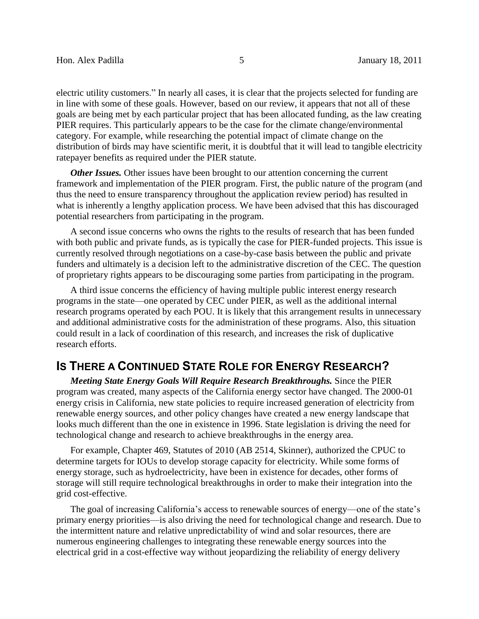electric utility customers." In nearly all cases, it is clear that the projects selected for funding are in line with some of these goals. However, based on our review, it appears that not all of these goals are being met by each particular project that has been allocated funding, as the law creating PIER requires. This particularly appears to be the case for the climate change/environmental category. For example, while researching the potential impact of climate change on the distribution of birds may have scientific merit, it is doubtful that it will lead to tangible electricity ratepayer benefits as required under the PIER statute.

*Other Issues.* Other issues have been brought to our attention concerning the current framework and implementation of the PIER program. First, the public nature of the program (and thus the need to ensure transparency throughout the application review period) has resulted in what is inherently a lengthy application process. We have been advised that this has discouraged potential researchers from participating in the program.

A second issue concerns who owns the rights to the results of research that has been funded with both public and private funds, as is typically the case for PIER-funded projects. This issue is currently resolved through negotiations on a case-by-case basis between the public and private funders and ultimately is a decision left to the administrative discretion of the CEC. The question of proprietary rights appears to be discouraging some parties from participating in the program.

A third issue concerns the efficiency of having multiple public interest energy research programs in the state—one operated by CEC under PIER, as well as the additional internal research programs operated by each POU. It is likely that this arrangement results in unnecessary and additional administrative costs for the administration of these programs. Also, this situation could result in a lack of coordination of this research, and increases the risk of duplicative research efforts.

## **IS THERE A CONTINUED STATE ROLE FOR ENERGY RESEARCH?**

*Meeting State Energy Goals Will Require Research Breakthroughs.* Since the PIER program was created, many aspects of the California energy sector have changed. The 2000-01 energy crisis in California, new state policies to require increased generation of electricity from renewable energy sources, and other policy changes have created a new energy landscape that looks much different than the one in existence in 1996. State legislation is driving the need for technological change and research to achieve breakthroughs in the energy area.

For example, Chapter 469, Statutes of 2010 (AB 2514, Skinner), authorized the CPUC to determine targets for IOUs to develop storage capacity for electricity. While some forms of energy storage, such as hydroelectricity, have been in existence for decades, other forms of storage will still require technological breakthroughs in order to make their integration into the grid cost-effective.

The goal of increasing California's access to renewable sources of energy—one of the state's primary energy priorities—is also driving the need for technological change and research. Due to the intermittent nature and relative unpredictability of wind and solar resources, there are numerous engineering challenges to integrating these renewable energy sources into the electrical grid in a cost-effective way without jeopardizing the reliability of energy delivery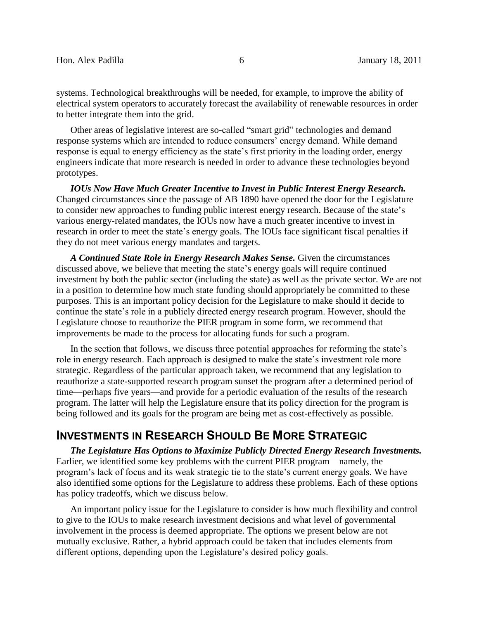systems. Technological breakthroughs will be needed, for example, to improve the ability of electrical system operators to accurately forecast the availability of renewable resources in order to better integrate them into the grid.

Other areas of legislative interest are so-called "smart grid" technologies and demand response systems which are intended to reduce consumers' energy demand. While demand response is equal to energy efficiency as the state's first priority in the loading order, energy engineers indicate that more research is needed in order to advance these technologies beyond prototypes.

*IOUs Now Have Much Greater Incentive to Invest in Public Interest Energy Research.*  Changed circumstances since the passage of AB 1890 have opened the door for the Legislature to consider new approaches to funding public interest energy research. Because of the state's various energy-related mandates, the IOUs now have a much greater incentive to invest in research in order to meet the state's energy goals. The IOUs face significant fiscal penalties if they do not meet various energy mandates and targets.

*A Continued State Role in Energy Research Makes Sense.* Given the circumstances discussed above, we believe that meeting the state's energy goals will require continued investment by both the public sector (including the state) as well as the private sector. We are not in a position to determine how much state funding should appropriately be committed to these purposes. This is an important policy decision for the Legislature to make should it decide to continue the state's role in a publicly directed energy research program. However, should the Legislature choose to reauthorize the PIER program in some form, we recommend that improvements be made to the process for allocating funds for such a program.

In the section that follows, we discuss three potential approaches for reforming the state's role in energy research. Each approach is designed to make the state's investment role more strategic. Regardless of the particular approach taken, we recommend that any legislation to reauthorize a state-supported research program sunset the program after a determined period of time—perhaps five years—and provide for a periodic evaluation of the results of the research program. The latter will help the Legislature ensure that its policy direction for the program is being followed and its goals for the program are being met as cost-effectively as possible.

# **INVESTMENTS IN RESEARCH SHOULD BE MORE STRATEGIC**

*The Legislature Has Options to Maximize Publicly Directed Energy Research Investments.* Earlier, we identified some key problems with the current PIER program—namely, the program's lack of focus and its weak strategic tie to the state's current energy goals. We have also identified some options for the Legislature to address these problems. Each of these options has policy tradeoffs, which we discuss below.

An important policy issue for the Legislature to consider is how much flexibility and control to give to the IOUs to make research investment decisions and what level of governmental involvement in the process is deemed appropriate. The options we present below are not mutually exclusive. Rather, a hybrid approach could be taken that includes elements from different options, depending upon the Legislature's desired policy goals.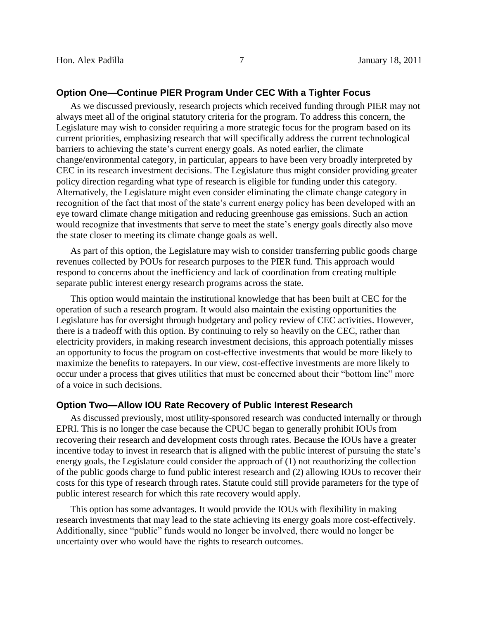#### **Option One—Continue PIER Program Under CEC With a Tighter Focus**

As we discussed previously, research projects which received funding through PIER may not always meet all of the original statutory criteria for the program. To address this concern, the Legislature may wish to consider requiring a more strategic focus for the program based on its current priorities, emphasizing research that will specifically address the current technological barriers to achieving the state's current energy goals. As noted earlier, the climate change/environmental category, in particular, appears to have been very broadly interpreted by CEC in its research investment decisions. The Legislature thus might consider providing greater policy direction regarding what type of research is eligible for funding under this category. Alternatively, the Legislature might even consider eliminating the climate change category in recognition of the fact that most of the state's current energy policy has been developed with an eye toward climate change mitigation and reducing greenhouse gas emissions. Such an action would recognize that investments that serve to meet the state's energy goals directly also move the state closer to meeting its climate change goals as well.

As part of this option, the Legislature may wish to consider transferring public goods charge revenues collected by POUs for research purposes to the PIER fund. This approach would respond to concerns about the inefficiency and lack of coordination from creating multiple separate public interest energy research programs across the state.

This option would maintain the institutional knowledge that has been built at CEC for the operation of such a research program. It would also maintain the existing opportunities the Legislature has for oversight through budgetary and policy review of CEC activities. However, there is a tradeoff with this option. By continuing to rely so heavily on the CEC, rather than electricity providers, in making research investment decisions, this approach potentially misses an opportunity to focus the program on cost-effective investments that would be more likely to maximize the benefits to ratepayers. In our view, cost-effective investments are more likely to occur under a process that gives utilities that must be concerned about their "bottom line" more of a voice in such decisions.

### **Option Two—Allow IOU Rate Recovery of Public Interest Research**

As discussed previously, most utility-sponsored research was conducted internally or through EPRI. This is no longer the case because the CPUC began to generally prohibit IOUs from recovering their research and development costs through rates. Because the IOUs have a greater incentive today to invest in research that is aligned with the public interest of pursuing the state's energy goals, the Legislature could consider the approach of (1) not reauthorizing the collection of the public goods charge to fund public interest research and (2) allowing IOUs to recover their costs for this type of research through rates. Statute could still provide parameters for the type of public interest research for which this rate recovery would apply.

This option has some advantages. It would provide the IOUs with flexibility in making research investments that may lead to the state achieving its energy goals more cost-effectively. Additionally, since "public" funds would no longer be involved, there would no longer be uncertainty over who would have the rights to research outcomes.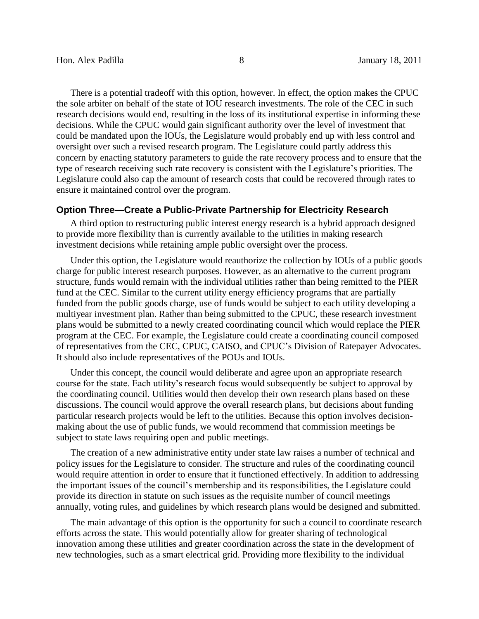There is a potential tradeoff with this option, however. In effect, the option makes the CPUC the sole arbiter on behalf of the state of IOU research investments. The role of the CEC in such research decisions would end, resulting in the loss of its institutional expertise in informing these decisions. While the CPUC would gain significant authority over the level of investment that could be mandated upon the IOUs, the Legislature would probably end up with less control and oversight over such a revised research program. The Legislature could partly address this concern by enacting statutory parameters to guide the rate recovery process and to ensure that the type of research receiving such rate recovery is consistent with the Legislature's priorities. The Legislature could also cap the amount of research costs that could be recovered through rates to ensure it maintained control over the program.

#### **Option Three—Create a Public-Private Partnership for Electricity Research**

A third option to restructuring public interest energy research is a hybrid approach designed to provide more flexibility than is currently available to the utilities in making research investment decisions while retaining ample public oversight over the process.

Under this option, the Legislature would reauthorize the collection by IOUs of a public goods charge for public interest research purposes. However, as an alternative to the current program structure, funds would remain with the individual utilities rather than being remitted to the PIER fund at the CEC. Similar to the current utility energy efficiency programs that are partially funded from the public goods charge, use of funds would be subject to each utility developing a multiyear investment plan. Rather than being submitted to the CPUC, these research investment plans would be submitted to a newly created coordinating council which would replace the PIER program at the CEC. For example, the Legislature could create a coordinating council composed of representatives from the CEC, CPUC, CAISO, and CPUC's Division of Ratepayer Advocates. It should also include representatives of the POUs and IOUs.

Under this concept, the council would deliberate and agree upon an appropriate research course for the state. Each utility's research focus would subsequently be subject to approval by the coordinating council. Utilities would then develop their own research plans based on these discussions. The council would approve the overall research plans, but decisions about funding particular research projects would be left to the utilities. Because this option involves decisionmaking about the use of public funds, we would recommend that commission meetings be subject to state laws requiring open and public meetings.

The creation of a new administrative entity under state law raises a number of technical and policy issues for the Legislature to consider. The structure and rules of the coordinating council would require attention in order to ensure that it functioned effectively. In addition to addressing the important issues of the council's membership and its responsibilities, the Legislature could provide its direction in statute on such issues as the requisite number of council meetings annually, voting rules, and guidelines by which research plans would be designed and submitted.

The main advantage of this option is the opportunity for such a council to coordinate research efforts across the state. This would potentially allow for greater sharing of technological innovation among these utilities and greater coordination across the state in the development of new technologies, such as a smart electrical grid. Providing more flexibility to the individual